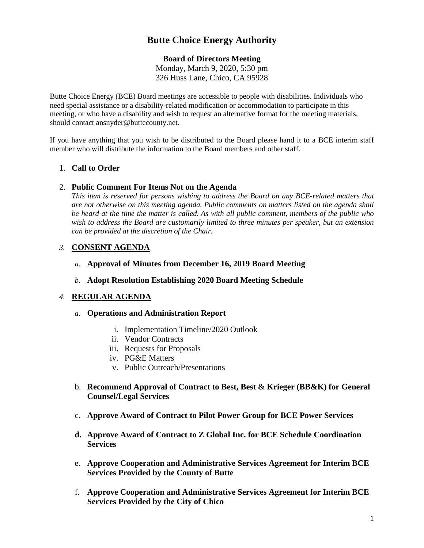# **Butte Choice Energy Authority**

## **Board of Directors Meeting**

Monday, March 9, 2020, 5:30 pm 326 Huss Lane, Chico, CA 95928

Butte Choice Energy (BCE) Board meetings are accessible to people with disabilities. Individuals who need special assistance or a disability-related modification or accommodation to participate in this meeting, or who have a disability and wish to request an alternative format for the meeting materials, should contact ansnyder@buttecounty.net.

If you have anything that you wish to be distributed to the Board please hand it to a BCE interim staff member who will distribute the information to the Board members and other staff.

# 1. **Call to Order**

## 2. **Public Comment For Items Not on the Agenda**

*This item is reserved for persons wishing to address the Board on any BCE-related matters that are not otherwise on this meeting agenda. Public comments on matters listed on the agenda shall be heard at the time the matter is called. As with all public comment, members of the public who wish to address the Board are customarily limited to three minutes per speaker, but an extension can be provided at the discretion of the Chair.*

# *3.* **CONSENT AGENDA**

## *a.* **Approval of Minutes from December 16, 2019 Board Meeting**

## *b.* **Adopt Resolution Establishing 2020 Board Meeting Schedule**

## *4.* **REGULAR AGENDA**

## *a.* **Operations and Administration Report**

- i. Implementation Timeline/2020 Outlook
- ii. Vendor Contracts
- iii. Requests for Proposals
- iv. PG&E Matters
- v. Public Outreach/Presentations
- b. **Recommend Approval of Contract to Best, Best & Krieger (BB&K) for General Counsel/Legal Services**
- c. **Approve Award of Contract to Pilot Power Group for BCE Power Services**
- **d. Approve Award of Contract to Z Global Inc. for BCE Schedule Coordination Services**
- e. **Approve Cooperation and Administrative Services Agreement for Interim BCE Services Provided by the County of Butte**
- f. **Approve Cooperation and Administrative Services Agreement for Interim BCE Services Provided by the City of Chico**